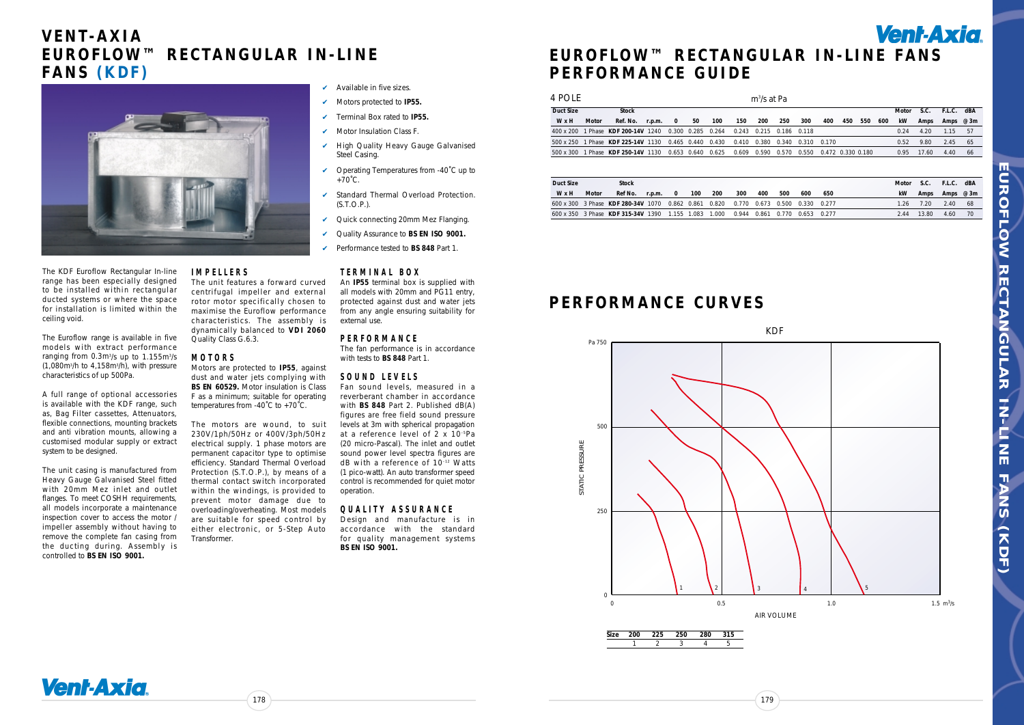# **EUROFLOW™ RECTANGULAR IN-LINE FANS P E R F O R M A N C E G U I D E**

178

The KDF Euroflow Rectangular In-line range has been especially designed to be installed within rectangular ducted systems or where the space for installation is limited within the ceiling void.

The Euroflow range is available in five models with extract performance ranging from 0.3m3 /s up to 1.155m3 /s (1,080m3 /h to 4,158m3 /h), with pressure characteristics of up 500Pa.

A full range of optional accessories is available with the KDF range, such as, Bag Filter cassettes, Attenuators, flexible connections, mounting brackets and anti vibration mounts, allowing a customised modular supply or extract system to be designed.

Motors are protected to **IP55**, against dust and water jets complying with **BS EN 60529.** Motor insulation is Class F as a minimum; suitable for operating temperatures from -40°C to +70°C.

The unit casing is manufactured from Heavy Gauge Galvanised Steel fitted with 20mm Mez inlet and outlet flanges. To meet COSHH requirements, all models incorporate a maintenance inspection cover to access the motor / impeller assembly without having to remove the complete fan casing from the ducting during. Assembly is controlled to **BS EN ISO 9001.**

**I M P E L L E R S**

The unit features a forward curved centrifugal impeller and external rotor motor specifically chosen to maximise the Euroflow performance characteristics. The assembly is dynamically balanced to **VDI 2060**

Quality Class G.6.3.

**M O T O R S**

- Available in five sizes.
- ✔ Motors protected to **IP55.**
- ✔ Terminal Box rated to **IP55.**
- Motor Insulation Class F.
- High Quality Heavy Gauge Galvanised Steel Casing.
- ✔ Operating Temperatures from -40˚C up to  $+70^{\circ}$ C.
- ✔ Standard Thermal Overload Protection. (S.T.O.P.).
- ✔ Quick connecting 20mm Mez Flanging.
- ✔ Quality Assurance to **BS EN ISO 9001.**
- ✔ Performance tested to **BS 848** Part 1.

The motors are wound, to suit 230V/1ph/50Hz or 400V/3ph/50Hz electrical supply. 1 phase motors are permanent capacitor type to optimise efficiency. Standard Thermal Overload Protection (S.T.O.P.), by means of a thermal contact switch incorporated within the windings, is provided to prevent motor damage due to overloading/overheating. Most models are suitable for speed control by either electronic, or 5-Step Auto



Transformer.

#### **T E R M I N A L B O X**

An **IP55** terminal box is supplied with all models with 20mm and PG11 entry, protected against dust and water jets from any angle ensuring suitability for external use.

#### **P E R F O R M A N C E**

The fan performance is in accordance with tests to **BS 848** Part 1.

#### **S O U N D L E V E L S**

Fan sound levels, measured in a reverberant chamber in accordance with **BS 848** Part 2. Published dB(A) figures are free field sound pressure levels at 3m with spherical propagation at a reference level of 2 x 10–5 Pa (20 micro-Pascal). The inlet and outlet sound power level spectra figures are dB with a reference of 10–12 Watts (1 pico-watt). An auto transformer speed control is recommended for quiet motor operation.

#### **Q U A L I T Y A S S U R A N C E**

Design and manufacture is in accordance with the standard for quality management systems **BS EN ISO 9001.**



EUROFLOW **E C R O F L O W R E C L A R O L A R L L I N F A N S (K D F )** RECTANGULAR **HN-LNE FANS** (KDF)

### **V E N T - A X I A E U R O F L O W ™ R E C T A N G U L A R I N - L I N E F A N S ( K D F )**

| 4 pole    |       |                                                                                    |        |                          |                   |     |                         | $m^3/s$ at Pa |     |                         |     |     |     |     |       |       |                 |      |
|-----------|-------|------------------------------------------------------------------------------------|--------|--------------------------|-------------------|-----|-------------------------|---------------|-----|-------------------------|-----|-----|-----|-----|-------|-------|-----------------|------|
| Duct Size |       | <b>Stock</b>                                                                       |        |                          |                   |     |                         |               |     |                         |     |     |     |     | Motor |       | S.C. F.L.C. dBA |      |
| WxH       | Motor | Ref. No.                                                                           | r.p.m. | $\overline{\phantom{0}}$ | 50                | 100 | 150                     | 200           | 250 | 300                     | 400 | 450 | 550 | 600 | kW    | Amps  | Amps $@3m$      |      |
|           |       | 400 x 200 1 Phase KDF 200-14V 1240                                                 |        |                          | 0.300 0.285 0.264 |     | 0.243 0.215 0.186 0.118 |               |     |                         |     |     |     |     | O 24  | 4.20  | 1.15            | - 57 |
|           |       | 500 x 250 1 Phase KDF 225-14V 1130 0.465 0.440 0.430 0.410 0.380 0.340 0.310 0.170 |        |                          |                   |     |                         |               |     |                         |     |     |     |     | O 52  | 9.80  | 2.45            | - 65 |
|           |       | 500 x 300 1 Phase KDF 250-14V 1130 0.653 0.640 0.625 0.609 0.590 0.570             |        |                          |                   |     |                         |               |     | 0.550 0.472 0.330 0.180 |     |     |     |     | 0.95  | 17.60 | 4.40            | -66  |
|           |       |                                                                                    |        |                          |                   |     |                         |               |     |                         |     |     |     |     |       |       |                 |      |

| Duct Size |       | <b>Stock</b>                                                                       |        |              |     |     |     |     |     |     |     | Motor     | S.C. F.L.C. |           | dBA |
|-----------|-------|------------------------------------------------------------------------------------|--------|--------------|-----|-----|-----|-----|-----|-----|-----|-----------|-------------|-----------|-----|
| WxH       | Motor | Ref No.                                                                            | r.p.m. | $\mathbf{0}$ | 100 | 200 | 300 | 400 | 500 | 600 | 650 | <b>kW</b> | Amps        | Amps @ 3m |     |
|           |       | 600 x 300 3 Phase KDF 280-34V 1070 0.862 0.861 0.820 0.770 0.673 0.500 0.330 0.277 |        |              |     |     |     |     |     |     |     | 1 26      | 7.20        | 2.40      | -68 |
|           |       | 600 x 350 3 Phase KDF 315-34V 1390 1.155 1.083 1.000 0.944 0.861 0.770 0.653 0.277 |        |              |     |     |     |     |     |     |     | 244       | 13.80       | 4.60      |     |

### **P E R F O R M A N C E C U R V E S**